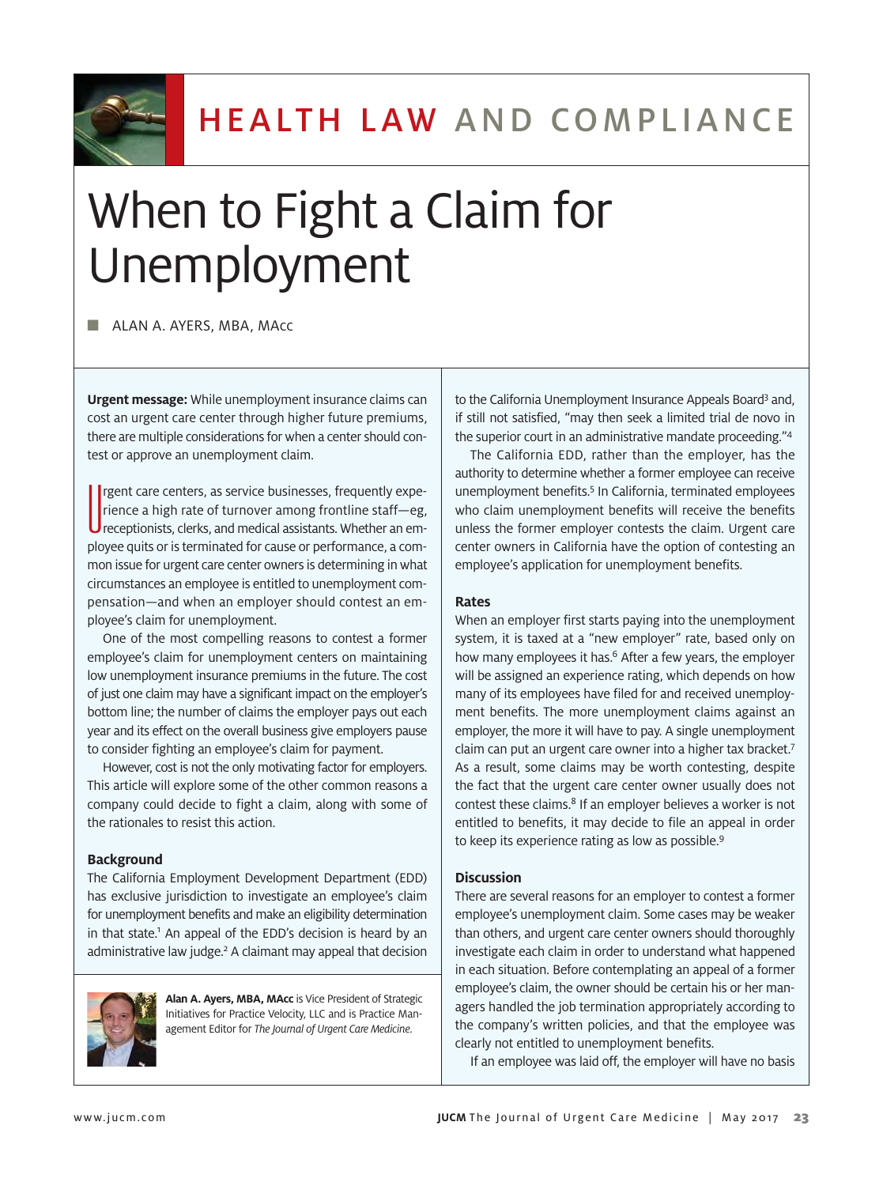

# When to Fight a Claim for Unemployment

■ ALAN A. AYERS, MBA, MAcc

**Urgent message:** While unemployment insurance claims can cost an urgent care center through higher future premiums, there are multiple considerations for when a center should contest or approve an unemployment claim.

I rgent care centers, as service businesses, frequently experience a high rate of turnover among frontline staff-eg,<br>
receptionists, clerks, and medical assistants. Whether an emrgent care centers, as service businesses, frequently experience a high rate of turnover among frontline staff—eg, ployee quits or is terminated for cause or performance, a common issue for urgent care center owners is determining in what circumstances an employee is entitled to unemployment compensation—and when an employer should contest an employee's claim for unemployment.

One of the most compelling reasons to contest a former employee's claim for unemployment centers on maintaining low unemployment insurance premiums in the future. The cost of just one claim may have a significant impact on the employer's bottom line; the number of claims the employer pays out each year and its effect on the overall business give employers pause to consider fighting an employee's claim for payment.

However, cost is not the only motivating factor for employers. This article will explore some of the other common reasons a company could decide to fight a claim, along with some of the rationales to resist this action.

# **Background**

The California Employment Development Department (EDD) has exclusive jurisdiction to investigate an employee's claim for unemployment benefits and make an eligibility determination in that state.<sup>1</sup> An appeal of the EDD's decision is heard by an administrative law judge.<sup>2</sup> A claimant may appeal that decision



**Alan A. Ayers, MBA, MAcc** is Vice President of Strategic Initiatives for Practice Velocity, LLC and is Practice Management Editor for *The Journal of Urgent Care Medicine*.

to the California Unemployment Insurance Appeals Board<sup>3</sup> and, if still not satisfied, "may then seek a limited trial de novo in the superior court in an administrative mandate proceeding."<sup>4</sup>

The California EDD, rather than the employer, has the authority to determine whether a former employee can receive unemployment benefits.<sup>5</sup> In California, terminated employees who claim unemployment benefits will receive the benefits unless the former employer contests the claim. Urgent care center owners in California have the option of contesting an employee's application for unemployment benefits.

### **Rates**

When an employer first starts paying into the unemployment system, it is taxed at a "new employer" rate, based only on how many employees it has.<sup>6</sup> After a few years, the employer will be assigned an experience rating, which depends on how many of its employees have filed for and received unemployment benefits. The more unemployment claims against an employer, the more it will have to pay. A single unemployment claim can put an urgent care owner into a higher tax bracket.<sup>7</sup> As a result, some claims may be worth contesting, despite the fact that the urgent care center owner usually does not contest these claims.<sup>8</sup> If an employer believes a worker is not entitled to benefits, it may decide to file an appeal in order to keep its experience rating as low as possible.<sup>9</sup>

### **Discussion**

There are several reasons for an employer to contest a former employee's unemployment claim. Some cases may be weaker than others, and urgent care center owners should thoroughly investigate each claim in order to understand what happened in each situation. Before contemplating an appeal of a former employee's claim, the owner should be certain his or her managers handled the job termination appropriately according to the company's written policies, and that the employee was clearly not entitled to unemployment benefits.

If an employee was laid off, the employer will have no basis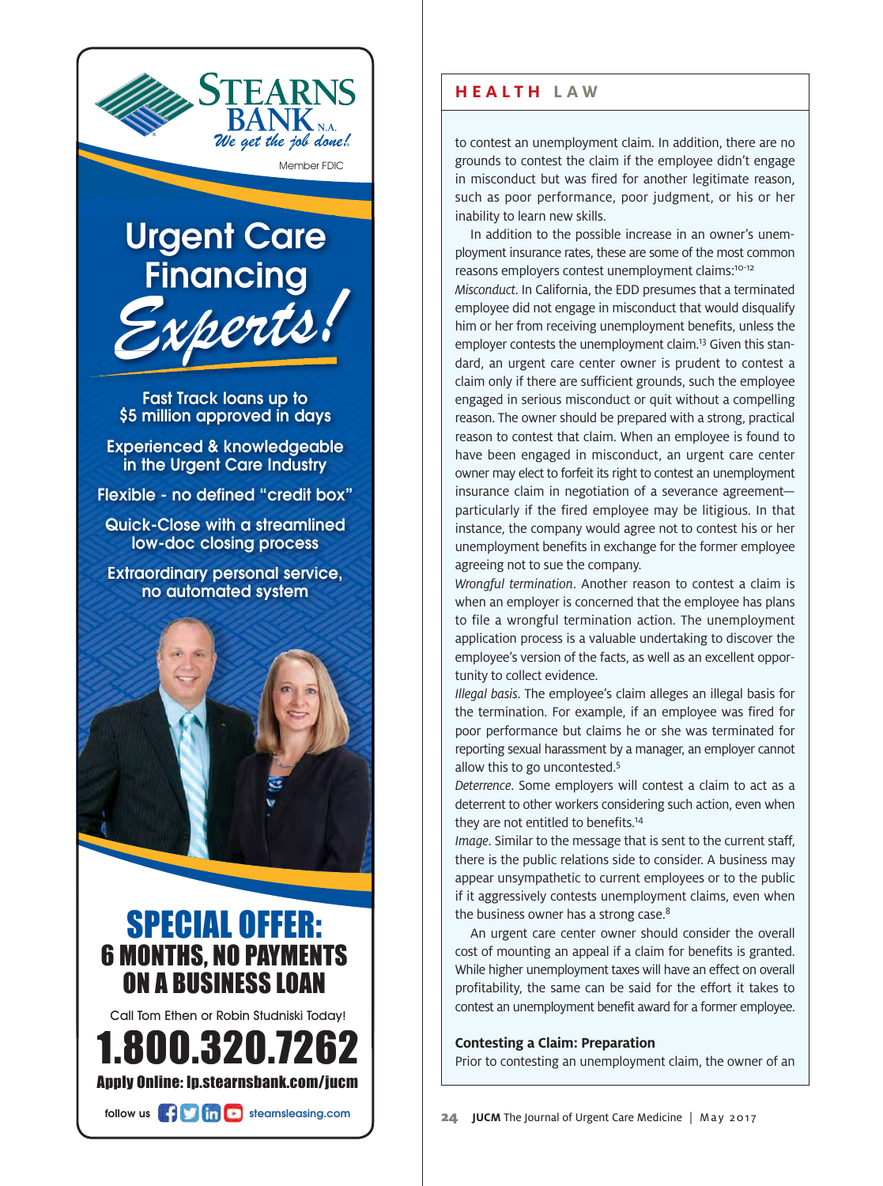

Member FDIC

# **Financing** Exper Exp erts! gent C Ur Care

\$5 million approved in days Fast Track loa ans up to

in the Urgent Care Industry Experienced & knowledgeable

Flexible - no defined "credit box"

low-doc closing process Quick-Close with a a streamlined

no automated d system Extraordinary personal service,



# ON A BUSINESS LOAN 6 MONTHS, NO PAYMENTS A SPECIAL OFFER:

Call Tom Ethen or Robin Studniski Today!



follow us **the limits' stearnsleasing.com** 

# **HEALTH LAW**

to contest an unemployment claim. In addition, there are no grounds to contest the claim if the employee didn't engage in misconduct but was fired for another legitimate reason, such as poor performance, poor judgment, or his or her inability to learn new skills.

In addition to the possible increase in an owner's unemployment insurance rates, these are some of the most common reasons employers contest unemployment claims:10-12 *Misconduct*. In California, the EDD presumes that a terminated employee did not engage in misconduct that would disqualify him or her from receiving unemployment benefits, unless the employer contests the unemployment claim.<sup>13</sup> Given this standard, an urgent care center owner is prudent to contest a claim only if there are sufficient grounds, such the employee engaged in serious misconduct or quit without a compelling reason. The owner should be prepared with a strong, practical reason to contest that claim. When an employee is found to have been engaged in misconduct, an urgent care center owner may elect to forfeit its right to contest an unemployment insurance claim in negotiation of a severance agreement particularly if the fired employee may be litigious. In that instance, the company would agree not to contest his or her unemployment benefits in exchange for the former employee agreeing not to sue the company.

*Wrongful termination*. Another reason to contest a claim is when an employer is concerned that the employee has plans to file a wrongful termination action. The unemployment application process is a valuable undertaking to discover the employee's version of the facts, as well as an excellent opportunity to collect evidence.

*Illegal basis*. The employee's claim alleges an illegal basis for the termination. For example, if an employee was fired for poor performance but claims he or she was terminated for reporting sexual harassment by a manager, an employer cannot allow this to go uncontested.<sup>5</sup>

*Deterrence*. Some employers will contest a claim to act as a deterrent to other workers considering such action, even when they are not entitled to benefits.<sup>14</sup>

*Image*. Similar to the message that is sent to the current staff, there is the public relations side to consider. A business may appear unsympathetic to current employees or to the public if it aggressively contests unemployment claims, even when the business owner has a strong case.<sup>8</sup>

An urgent care center owner should consider the overall cost of mounting an appeal if a claim for benefits is granted. While higher unemployment taxes will have an effect on overall profitability, the same can be said for the effort it takes to contest an unemployment benefit award for a former employee.

# **Contesting a Claim: Preparation**

Prior to contesting an unemployment claim, the owner of an